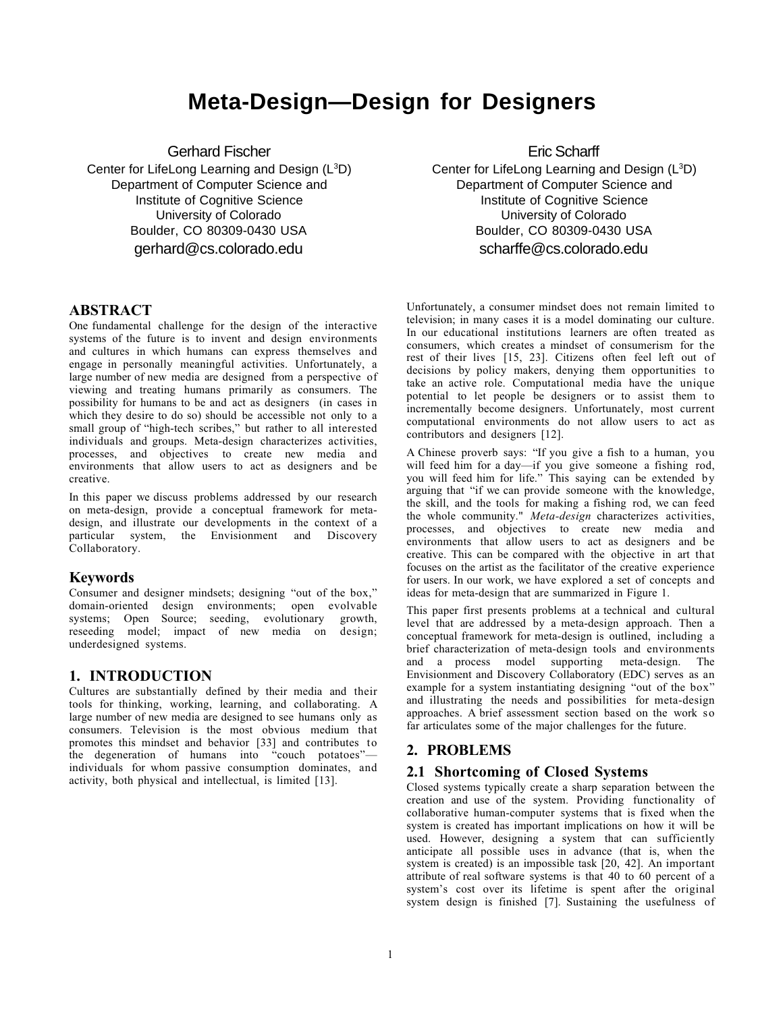# **Meta-Design—Design for Designers**

Gerhard Fischer Center for LifeLong Learning and Design  $(L^{3}D)$ Department of Computer Science and Institute of Cognitive Science University of Colorado Boulder, CO 80309-0430 USA gerhard@cs.colorado.edu

#### **ABSTRACT**

One fundamental challenge for the design of the interactive systems of the future is to invent and design environments and cultures in which humans can express themselves and engage in personally meaningful activities. Unfortunately, a large number of new media are designed from a perspective of viewing and treating humans primarily as consumers. The possibility for humans to be and act as designers (in cases in which they desire to do so) should be accessible not only to a small group of "high-tech scribes," but rather to all interested individuals and groups. Meta-design characterizes activities, processes, and objectives to create new media and environments that allow users to act as designers and be creative.

In this paper we discuss problems addressed by our research on meta-design, provide a conceptual framework for metadesign, and illustrate our developments in the context of a particular system, the Envisionment and Discovery Collaboratory.

#### **Keywords**

Consumer and designer mindsets; designing "out of the box," domain-oriented design environments; open evolvable systems; Open Source; seeding, evolutionary growth, reseeding model; impact of new media on design; underdesigned systems.

#### **1. INTRODUCTION**

Cultures are substantially defined by their media and their tools for thinking, working, learning, and collaborating. A large number of new media are designed to see humans only as consumers. Television is the most obvious medium that promotes this mindset and behavior [33] and contributes to the degeneration of humans into "couch potatoes" individuals for whom passive consumption dominates, and activity, both physical and intellectual, is limited [13].

Eric Scharff Center for LifeLong Learning and Design  $(L^{3}D)$ Department of Computer Science and Institute of Cognitive Science University of Colorado Boulder, CO 80309-0430 USA scharffe@cs.colorado.edu

Unfortunately, a consumer mindset does not remain limited to television; in many cases it is a model dominating our culture. In our educational institutions learners are often treated as consumers, which creates a mindset of consumerism for the rest of their lives [15, 23]. Citizens often feel left out of decisions by policy makers, denying them opportunities to take an active role. Computational media have the unique potential to let people be designers or to assist them to incrementally become designers. Unfortunately, most current computational environments do not allow users to act as contributors and designers [12].

A Chinese proverb says: "If you give a fish to a human, you will feed him for a day—if you give someone a fishing rod, you will feed him for life." This saying can be extended by arguing that "if we can provide someone with the knowledge, the skill, and the tools for making a fishing rod, we can feed the whole community." *Meta-design* characterizes activities, processes, and objectives to create new media and environments that allow users to act as designers and be creative. This can be compared with the objective in art that focuses on the artist as the facilitator of the creative experience for users. In our work, we have explored a set of concepts and ideas for meta-design that are summarized in Figure 1.

This paper first presents problems at a technical and cultural level that are addressed by a meta-design approach. Then a conceptual framework for meta-design is outlined, including a brief characterization of meta-design tools and environments and a process model supporting meta-design. The Envisionment and Discovery Collaboratory (EDC) serves as an example for a system instantiating designing "out of the box" and illustrating the needs and possibilities for meta-design approaches. A brief assessment section based on the work so far articulates some of the major challenges for the future.

#### **2. PROBLEMS**

#### **2.1 Shortcoming of Closed Systems**

Closed systems typically create a sharp separation between the creation and use of the system. Providing functionality of collaborative human-computer systems that is fixed when the system is created has important implications on how it will be used. However, designing a system that can sufficiently anticipate all possible uses in advance (that is, when the system is created) is an impossible task [20, 42]. An important attribute of real software systems is that 40 to 60 percent of a system's cost over its lifetime is spent after the original system design is finished [7]. Sustaining the usefulness of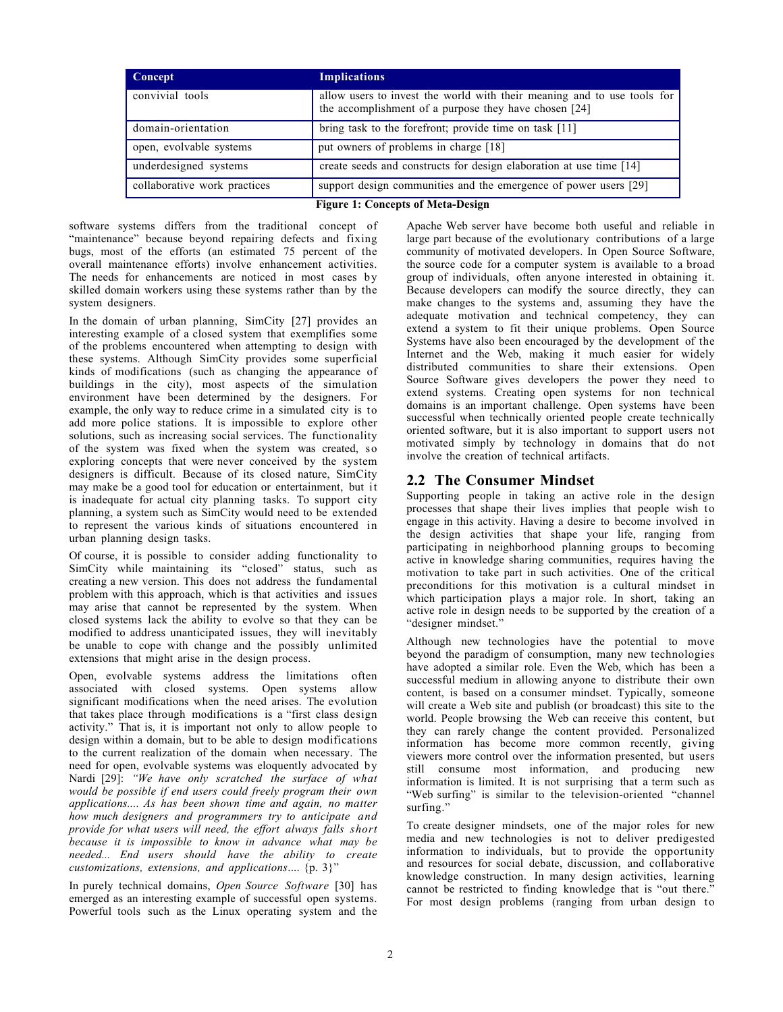| Concept                      | <b>Implications</b>                                                                                                              |
|------------------------------|----------------------------------------------------------------------------------------------------------------------------------|
| convivial tools              | allow users to invest the world with their meaning and to use tools for<br>the accomplishment of a purpose they have chosen [24] |
| domain-orientation           | bring task to the forefront; provide time on task [11]                                                                           |
| open, evolvable systems      | put owners of problems in charge [18]                                                                                            |
| underdesigned systems        | create seeds and constructs for design elaboration at use time [14]                                                              |
| collaborative work practices | support design communities and the emergence of power users [29]                                                                 |

**Figure 1: Concepts of Meta-Design**

software systems differs from the traditional concept of "maintenance" because beyond repairing defects and fixing bugs, most of the efforts (an estimated 75 percent of the overall maintenance efforts) involve enhancement activities. The needs for enhancements are noticed in most cases by skilled domain workers using these systems rather than by the system designers.

In the domain of urban planning, SimCity [27] provides an interesting example of a closed system that exemplifies some of the problems encountered when attempting to design with these systems. Although SimCity provides some superficial kinds of modifications (such as changing the appearance of buildings in the city), most aspects of the simulation environment have been determined by the designers. For example, the only way to reduce crime in a simulated city is to add more police stations. It is impossible to explore other solutions, such as increasing social services. The functionality of the system was fixed when the system was created, so exploring concepts that were never conceived by the system designers is difficult. Because of its closed nature, SimCity may make be a good tool for education or entertainment, but it is inadequate for actual city planning tasks. To support city planning, a system such as SimCity would need to be extended to represent the various kinds of situations encountered in urban planning design tasks.

Of course, it is possible to consider adding functionality to SimCity while maintaining its "closed" status, such as creating a new version. This does not address the fundamental problem with this approach, which is that activities and issues may arise that cannot be represented by the system. When closed systems lack the ability to evolve so that they can be modified to address unanticipated issues, they will inevitably be unable to cope with change and the possibly unlimited extensions that might arise in the design process.

Open, evolvable systems address the limitations often associated with closed systems. Open systems allow significant modifications when the need arises. The evolution that takes place through modifications is a "first class design activity." That is, it is important not only to allow people to design within a domain, but to be able to design modifications to the current realization of the domain when necessary. The need for open, evolvable systems was eloquently advocated by Nardi [29]: *"We have only scratched the surface of what would be possible if end users could freely program their own applications.... As has been shown time and again, no matter how much designers and programmers try to anticipate and provide for what users will need, the effort always falls short because it is impossible to know in advance what may be needed... End users should have the ability to create customizations, extensions, and applications*.... {p. 3}"

In purely technical domains, *Open Source Software* [30] has emerged as an interesting example of successful open systems. Powerful tools such as the Linux operating system and the

Apache Web server have become both useful and reliable in large part because of the evolutionary contributions of a large community of motivated developers. In Open Source Software, the source code for a computer system is available to a broad group of individuals, often anyone interested in obtaining it. Because developers can modify the source directly, they can make changes to the systems and, assuming they have the adequate motivation and technical competency, they can extend a system to fit their unique problems. Open Source Systems have also been encouraged by the development of the Internet and the Web, making it much easier for widely distributed communities to share their extensions. Open Source Software gives developers the power they need to extend systems. Creating open systems for non technical domains is an important challenge. Open systems have been successful when technically oriented people create technically oriented software, but it is also important to support users not motivated simply by technology in domains that do not involve the creation of technical artifacts.

## **2.2 The Consumer Mindset**

Supporting people in taking an active role in the design processes that shape their lives implies that people wish to engage in this activity. Having a desire to become involved in the design activities that shape your life, ranging from participating in neighborhood planning groups to becoming active in knowledge sharing communities, requires having the motivation to take part in such activities. One of the critical preconditions for this motivation is a cultural mindset in which participation plays a major role. In short, taking an active role in design needs to be supported by the creation of a "designer mindset."

Although new technologies have the potential to move beyond the paradigm of consumption, many new technologies have adopted a similar role. Even the Web, which has been a successful medium in allowing anyone to distribute their own content, is based on a consumer mindset. Typically, someone will create a Web site and publish (or broadcast) this site to the world. People browsing the Web can receive this content, but they can rarely change the content provided. Personalized information has become more common recently, giving viewers more control over the information presented, but users still consume most information, and producing new information is limited. It is not surprising that a term such as "Web surfing" is similar to the television-oriented "channel surfing."

To create designer mindsets, one of the major roles for new media and new technologies is not to deliver predigested information to individuals, but to provide the opportunity and resources for social debate, discussion, and collaborative knowledge construction. In many design activities, learning cannot be restricted to finding knowledge that is "out there." For most design problems (ranging from urban design to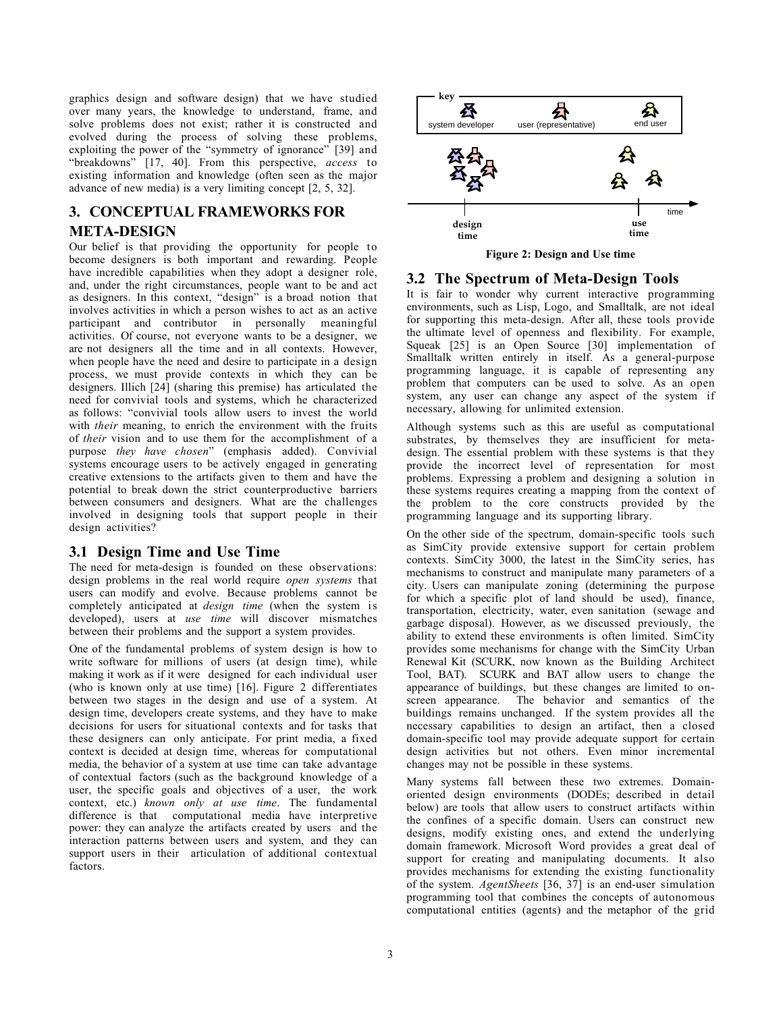graphics design and software design) that we have studied over many years, the knowledge to understand, frame, and solve problems does not exist; rather it is constructed and evolved during the process of solving these problems, exploiting the power of the "symmetry of ignorance" [39] and "breakdowns" [17, 40]. From this perspective, *access* to existing information and knowledge (often seen as the major advance of new media) is a very limiting concept [2, 5, 32].

## **3. CONCEPTUAL FRAMEWORKS FOR**

#### **META-DESIGN**

Our belief is that providing the opportunity for people to become designers is both important and rewarding. People have incredible capabilities when they adopt a designer role, and, under the right circumstances, people want to be and act as designers. In this context, "design" is a broad notion that involves activities in which a person wishes to act as an active participant and contributor in personally meaningful activities. Of course, not everyone wants to be a designer, we are not designers all the time and in all contexts. However, when people have the need and desire to participate in a design process, we must provide contexts in which they can be designers. Illich [24] (sharing this premise) has articulated the need for convivial tools and systems, which he characterized as follows: "convivial tools allow users to invest the world with *their* meaning, to enrich the environment with the fruits of *their* vision and to use them for the accomplishment of a purpose *they have chosen*" (emphasis added). Convivial systems encourage users to be actively engaged in generating creative extensions to the artifacts given to them and have the potential to break down the strict counterproductive barriers between consumers and designers. What are the challenges involved in designing tools that support people in their design activities?

#### **3.1 Design Time and Use Time**

The need for meta-design is founded on these observations: design problems in the real world require *open systems* that users can modify and evolve. Because problems cannot be completely anticipated at *design time* (when the system is developed), users at *use time* will discover mismatches between their problems and the support a system provides.

One of the fundamental problems of system design is how to write software for millions of users (at design time), while making it work as if it were designed for each individual user (who is known only at use time) [16]. Figure 2 differentiates between two stages in the design and use of a system. At design time, developers create systems, and they have to make decisions for users for situational contexts and for tasks that these designers can only anticipate. For print media, a fixed context is decided at design time, whereas for computational media, the behavior of a system at use time can take advantage of contextual factors (such as the background knowledge of a user, the specific goals and objectives of a user, the work context, etc.) *known only at use time*. The fundamental difference is that computational media have interpretive power: they can analyze the artifacts created by users and the interaction patterns between users and system, and they can support users in their articulation of additional contextual factors.



**Figure 2: Design and Use time**

#### **3.2 The Spectrum of Meta-Design Tools**

It is fair to wonder why current interactive programming environments, such as Lisp, Logo, and Smalltalk, are not ideal for supporting this meta-design. After all, these tools provide the ultimate level of openness and flexibility. For example, Squeak [25] is an Open Source [30] implementation of Smalltalk written entirely in itself. As a general-purpose programming language, it is capable of representing any problem that computers can be used to solve. As an open system, any user can change any aspect of the system if necessary, allowing for unlimited extension.

Although systems such as this are useful as computational substrates, by themselves they are insufficient for metadesign. The essential problem with these systems is that they provide the incorrect level of representation for most problems. Expressing a problem and designing a solution in these systems requires creating a mapping from the context of the problem to the core constructs provided by the programming language and its supporting library.

On the other side of the spectrum, domain-specific tools such as SimCity provide extensive support for certain problem contexts. SimCity 3000, the latest in the SimCity series, has mechanisms to construct and manipulate many parameters of a city. Users can manipulate zoning (determining the purpose for which a specific plot of land should be used), finance, transportation, electricity, water, even sanitation (sewage and garbage disposal). However, as we discussed previously, the ability to extend these environments is often limited. SimCity provides some mechanisms for change with the SimCity Urban Renewal Kit (SCURK, now known as the Building Architect Tool, BAT). SCURK and BAT allow users to change the appearance of buildings, but these changes are limited to onscreen appearance. The behavior and semantics of the buildings remains unchanged. If the system provides all the necessary capabilities to design an artifact, then a closed domain-specific tool may provide adequate support for certain design activities but not others. Even minor incremental changes may not be possible in these systems.

Many systems fall between these two extremes. Domainoriented design environments (DODEs; described in detail below) are tools that allow users to construct artifacts within the confines of a specific domain. Users can construct new designs, modify existing ones, and extend the underlying domain framework. Microsoft Word provides a great deal of support for creating and manipulating documents. It also provides mechanisms for extending the existing functionality of the system. *AgentSheets* [36, 37] is an end-user simulation programming tool that combines the concepts of autonomous computational entities (agents) and the metaphor of the grid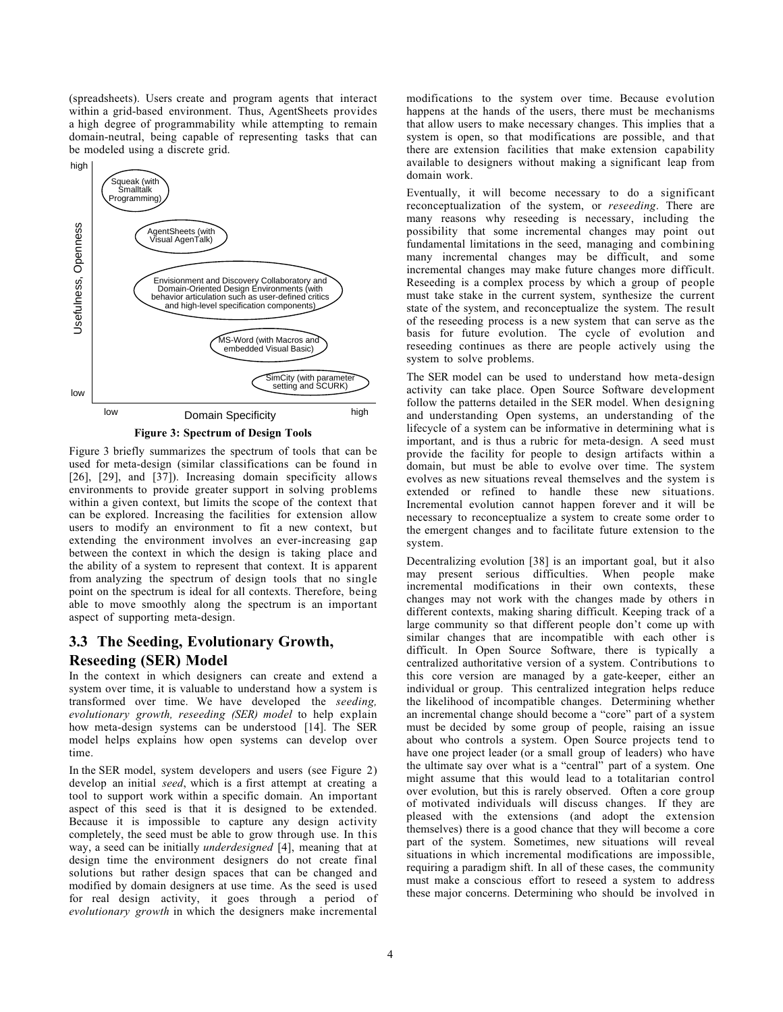(spreadsheets). Users create and program agents that interact within a grid-based environment. Thus, AgentSheets provides a high degree of programmability while attempting to remain domain-neutral, being capable of representing tasks that can be modeled using a discrete grid.



**Figure 3: Spectrum of Design Tools**

Figure 3 briefly summarizes the spectrum of tools that can be used for meta-design (similar classifications can be found in [26], [29], and [37]). Increasing domain specificity allows environments to provide greater support in solving problems within a given context, but limits the scope of the context that can be explored. Increasing the facilities for extension allow users to modify an environment to fit a new context, but extending the environment involves an ever-increasing gap between the context in which the design is taking place and the ability of a system to represent that context. It is apparent from analyzing the spectrum of design tools that no single point on the spectrum is ideal for all contexts. Therefore, being able to move smoothly along the spectrum is an important aspect of supporting meta-design.

# **3.3 The Seeding, Evolutionary Growth, Reseeding (SER) Model**

In the context in which designers can create and extend a system over time, it is valuable to understand how a system is transformed over time. We have developed the *seeding, evolutionary growth, reseeding (SER) model* to help explain how meta-design systems can be understood [14]. The SER model helps explains how open systems can develop over time.

In the SER model, system developers and users (see Figure 2) develop an initial *seed*, which is a first attempt at creating a tool to support work within a specific domain. An important aspect of this seed is that it is designed to be extended. Because it is impossible to capture any design activity completely, the seed must be able to grow through use. In this way, a seed can be initially *underdesigned* [4], meaning that at design time the environment designers do not create final solutions but rather design spaces that can be changed and modified by domain designers at use time. As the seed is used for real design activity, it goes through a period of *evolutionary growth* in which the designers make incremental modifications to the system over time. Because evolution happens at the hands of the users, there must be mechanisms that allow users to make necessary changes. This implies that a system is open, so that modifications are possible, and that there are extension facilities that make extension capability available to designers without making a significant leap from domain work.

Eventually, it will become necessary to do a significant reconceptualization of the system, or *reseeding*. There are many reasons why reseeding is necessary, including the possibility that some incremental changes may point out fundamental limitations in the seed, managing and combining many incremental changes may be difficult, and some incremental changes may make future changes more difficult. Reseeding is a complex process by which a group of people must take stake in the current system, synthesize the current state of the system, and reconceptualize the system. The result of the reseeding process is a new system that can serve as the basis for future evolution. The cycle of evolution and reseeding continues as there are people actively using the system to solve problems.

The SER model can be used to understand how meta-design activity can take place. Open Source Software development follow the patterns detailed in the SER model. When designing and understanding Open systems, an understanding of the lifecycle of a system can be informative in determining what is important, and is thus a rubric for meta-design. A seed must provide the facility for people to design artifacts within a domain, but must be able to evolve over time. The system evolves as new situations reveal themselves and the system is extended or refined to handle these new situations. Incremental evolution cannot happen forever and it will be necessary to reconceptualize a system to create some order to the emergent changes and to facilitate future extension to the system.

Decentralizing evolution [38] is an important goal, but it also may present serious difficulties. When people make incremental modifications in their own contexts, these changes may not work with the changes made by others in different contexts, making sharing difficult. Keeping track of a large community so that different people don't come up with similar changes that are incompatible with each other is difficult. In Open Source Software, there is typically a centralized authoritative version of a system. Contributions to this core version are managed by a gate-keeper, either an individual or group. This centralized integration helps reduce the likelihood of incompatible changes. Determining whether an incremental change should become a "core" part of a system must be decided by some group of people, raising an issue about who controls a system. Open Source projects tend to have one project leader (or a small group of leaders) who have the ultimate say over what is a "central" part of a system. One might assume that this would lead to a totalitarian control over evolution, but this is rarely observed. Often a core group of motivated individuals will discuss changes. If they are pleased with the extensions (and adopt the extension themselves) there is a good chance that they will become a core part of the system. Sometimes, new situations will reveal situations in which incremental modifications are impossible, requiring a paradigm shift. In all of these cases, the community must make a conscious effort to reseed a system to address these major concerns. Determining who should be involved in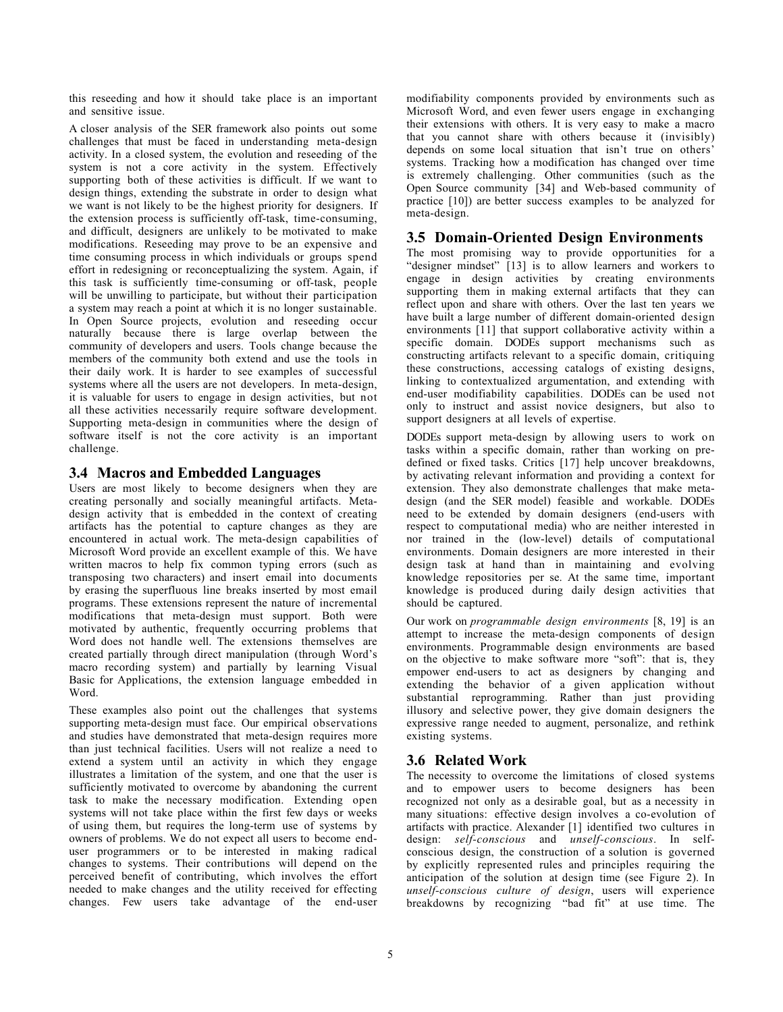this reseeding and how it should take place is an important and sensitive issue.

A closer analysis of the SER framework also points out some challenges that must be faced in understanding meta-design activity. In a closed system, the evolution and reseeding of the system is not a core activity in the system. Effectively supporting both of these activities is difficult. If we want to design things, extending the substrate in order to design what we want is not likely to be the highest priority for designers. If the extension process is sufficiently off-task, time-consuming, and difficult, designers are unlikely to be motivated to make modifications. Reseeding may prove to be an expensive and time consuming process in which individuals or groups spend effort in redesigning or reconceptualizing the system. Again, if this task is sufficiently time-consuming or off-task, people will be unwilling to participate, but without their participation a system may reach a point at which it is no longer sustainable. In Open Source projects, evolution and reseeding occur naturally because there is large overlap between the community of developers and users. Tools change because the members of the community both extend and use the tools in their daily work. It is harder to see examples of successful systems where all the users are not developers. In meta-design, it is valuable for users to engage in design activities, but not all these activities necessarily require software development. Supporting meta-design in communities where the design of software itself is not the core activity is an important challenge.

## **3.4 Macros and Embedded Languages**

Users are most likely to become designers when they are creating personally and socially meaningful artifacts. Metadesign activity that is embedded in the context of creating artifacts has the potential to capture changes as they are encountered in actual work. The meta-design capabilities of Microsoft Word provide an excellent example of this. We have written macros to help fix common typing errors (such as transposing two characters) and insert email into documents by erasing the superfluous line breaks inserted by most email programs. These extensions represent the nature of incremental modifications that meta-design must support. Both were motivated by authentic, frequently occurring problems that Word does not handle well. The extensions themselves are created partially through direct manipulation (through Word's macro recording system) and partially by learning Visual Basic for Applications, the extension language embedded in Word.

These examples also point out the challenges that systems supporting meta-design must face. Our empirical observations and studies have demonstrated that meta-design requires more than just technical facilities. Users will not realize a need to extend a system until an activity in which they engage illustrates a limitation of the system, and one that the user is sufficiently motivated to overcome by abandoning the current task to make the necessary modification. Extending open systems will not take place within the first few days or weeks of using them, but requires the long-term use of systems by owners of problems. We do not expect all users to become enduser programmers or to be interested in making radical changes to systems. Their contributions will depend on the perceived benefit of contributing, which involves the effort needed to make changes and the utility received for effecting changes. Few users take advantage of the end-user modifiability components provided by environments such as Microsoft Word, and even fewer users engage in exchanging their extensions with others. It is very easy to make a macro that you cannot share with others because it (invisibly) depends on some local situation that isn't true on others' systems. Tracking how a modification has changed over time is extremely challenging. Other communities (such as the Open Source community [34] and Web-based community of practice [10]) are better success examples to be analyzed for meta-design.

## **3.5 Domain-Oriented Design Environments**

The most promising way to provide opportunities for a "designer mindset" [13] is to allow learners and workers to engage in design activities by creating environments supporting them in making external artifacts that they can reflect upon and share with others. Over the last ten years we have built a large number of different domain-oriented design environments [11] that support collaborative activity within a specific domain. DODEs support mechanisms such as constructing artifacts relevant to a specific domain, critiquing these constructions, accessing catalogs of existing designs, linking to contextualized argumentation, and extending with end-user modifiability capabilities. DODEs can be used not only to instruct and assist novice designers, but also to support designers at all levels of expertise.

DODEs support meta-design by allowing users to work on tasks within a specific domain, rather than working on predefined or fixed tasks. Critics [17] help uncover breakdowns, by activating relevant information and providing a context for extension. They also demonstrate challenges that make metadesign (and the SER model) feasible and workable. DODEs need to be extended by domain designers (end-users with respect to computational media) who are neither interested in nor trained in the (low-level) details of computational environments. Domain designers are more interested in their design task at hand than in maintaining and evolving knowledge repositories per se. At the same time, important knowledge is produced during daily design activities that should be captured.

Our work on *programmable design environments* [8, 19] is an attempt to increase the meta-design components of design environments. Programmable design environments are based on the objective to make software more "soft": that is, they empower end-users to act as designers by changing and extending the behavior of a given application without substantial reprogramming. Rather than just providing illusory and selective power, they give domain designers the expressive range needed to augment, personalize, and rethink existing systems.

#### **3.6 Related Work**

The necessity to overcome the limitations of closed systems and to empower users to become designers has been recognized not only as a desirable goal, but as a necessity in many situations: effective design involves a co-evolution of artifacts with practice. Alexander [1] identified two cultures in design: *self-conscious* and *unself-conscious*. In selfconscious design, the construction of a solution is governed by explicitly represented rules and principles requiring the anticipation of the solution at design time (see Figure 2). In *unself-conscious culture of design*, users will experience breakdowns by recognizing "bad fit" at use time. The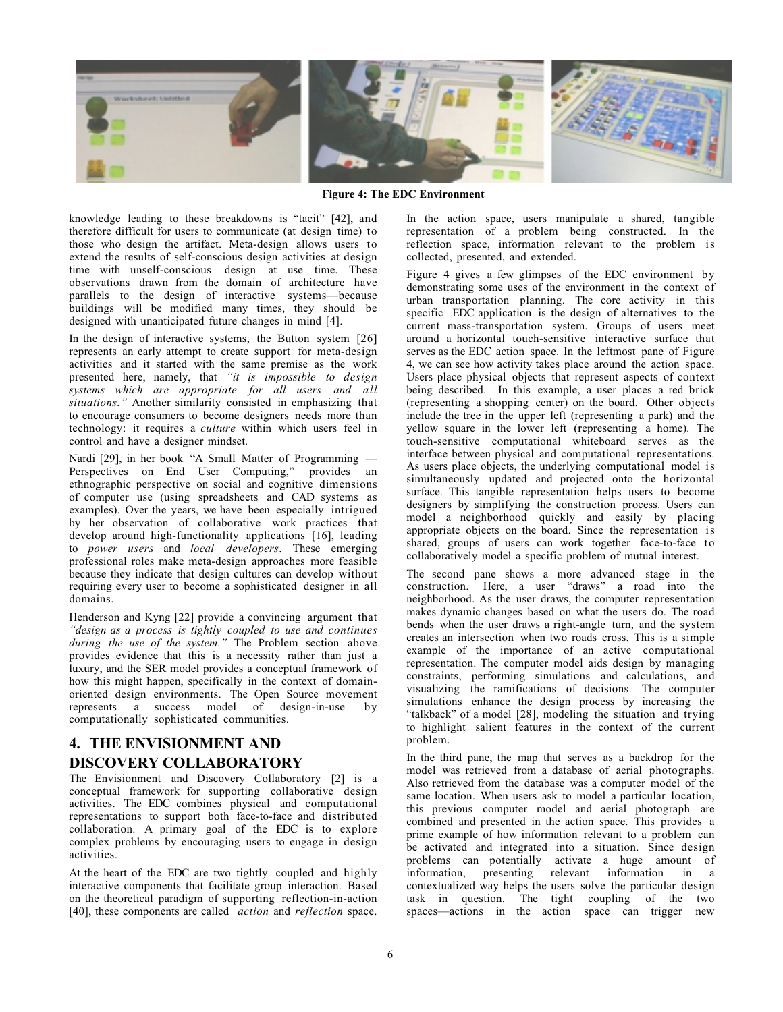

**Figure 4: The EDC Environment**

knowledge leading to these breakdowns is "tacit" [42], and therefore difficult for users to communicate (at design time) to those who design the artifact. Meta-design allows users to extend the results of self-conscious design activities at design time with unself-conscious design at use time. These observations drawn from the domain of architecture have parallels to the design of interactive systems—because buildings will be modified many times, they should be designed with unanticipated future changes in mind [4].

In the design of interactive systems, the Button system [26] represents an early attempt to create support for meta-design activities and it started with the same premise as the work presented here, namely, that *"it is impossible to design systems which are appropriate for all users and all situations."* Another similarity consisted in emphasizing that to encourage consumers to become designers needs more than technology: it requires a *culture* within which users feel in control and have a designer mindset.

Nardi [29], in her book "A Small Matter of Programming — Perspectives on End User Computing," provides an ethnographic perspective on social and cognitive dimensions of computer use (using spreadsheets and CAD systems as examples). Over the years, we have been especially intrigued by her observation of collaborative work practices that develop around high-functionality applications [16], leading to *power users* and *local developers*. These emerging professional roles make meta-design approaches more feasible because they indicate that design cultures can develop without requiring every user to become a sophisticated designer in all domains.

Henderson and Kyng [22] provide a convincing argument that *"design as a process is tightly coupled to use and continues during the use of the system."* The Problem section above provides evidence that this is a necessity rather than just a luxury, and the SER model provides a conceptual framework of how this might happen, specifically in the context of domainoriented design environments. The Open Source movement represents a success model of design-in-use by computationally sophisticated communities.

# **4. THE ENVISIONMENT AND DISCOVERY COLLABORATORY**

The Envisionment and Discovery Collaboratory [2] is a conceptual framework for supporting collaborative design activities. The EDC combines physical and computational representations to support both face-to-face and distributed collaboration. A primary goal of the EDC is to explore complex problems by encouraging users to engage in design activities.

At the heart of the EDC are two tightly coupled and highly interactive components that facilitate group interaction. Based on the theoretical paradigm of supporting reflection-in-action [40], these components are called *action* and *reflection* space. In the action space, users manipulate a shared, tangible representation of a problem being constructed. In the reflection space, information relevant to the problem is collected, presented, and extended.

Figure 4 gives a few glimpses of the EDC environment by demonstrating some uses of the environment in the context of urban transportation planning. The core activity in this specific EDC application is the design of alternatives to the current mass-transportation system. Groups of users meet around a horizontal touch-sensitive interactive surface that serves as the EDC action space. In the leftmost pane of Figure 4, we can see how activity takes place around the action space. Users place physical objects that represent aspects of context being described. In this example, a user places a red brick (representing a shopping center) on the board. Other objects include the tree in the upper left (representing a park) and the yellow square in the lower left (representing a home). The touch-sensitive computational whiteboard serves as the interface between physical and computational representations. As users place objects, the underlying computational model is simultaneously updated and projected onto the horizontal surface. This tangible representation helps users to become designers by simplifying the construction process. Users can model a neighborhood quickly and easily by placing appropriate objects on the board. Since the representation is shared, groups of users can work together face-to-face to collaboratively model a specific problem of mutual interest.

The second pane shows a more advanced stage in the construction. Here, a user "draws" a road into the neighborhood. As the user draws, the computer representation makes dynamic changes based on what the users do. The road bends when the user draws a right-angle turn, and the system creates an intersection when two roads cross. This is a simple example of the importance of an active computational representation. The computer model aids design by managing constraints, performing simulations and calculations, and visualizing the ramifications of decisions. The computer simulations enhance the design process by increasing the "talkback" of a model [28], modeling the situation and trying to highlight salient features in the context of the current problem.

In the third pane, the map that serves as a backdrop for the model was retrieved from a database of aerial photographs. Also retrieved from the database was a computer model of the same location. When users ask to model a particular location, this previous computer model and aerial photograph are combined and presented in the action space. This provides a prime example of how information relevant to a problem can be activated and integrated into a situation. Since design problems can potentially activate a huge amount of information, presenting relevant information in a contextualized way helps the users solve the particular design task in question. The tight coupling of the two spaces—actions in the action space can trigger new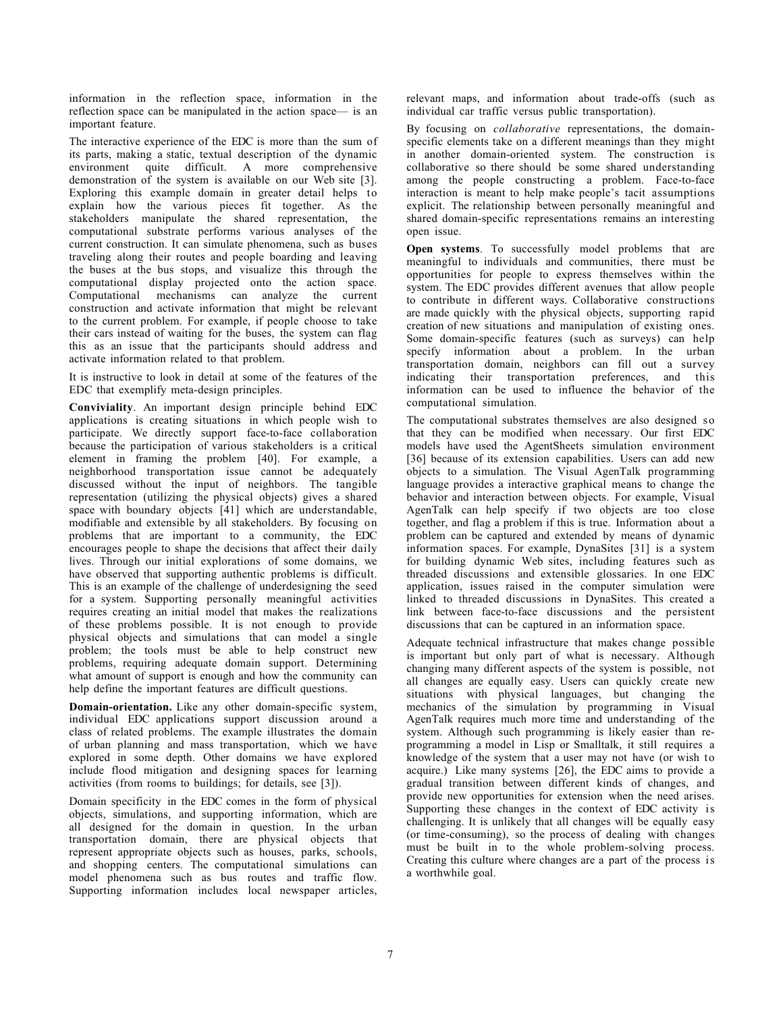information in the reflection space, information in the reflection space can be manipulated in the action space— is an important feature.

The interactive experience of the EDC is more than the sum of its parts, making a static, textual description of the dynamic environment quite difficult. A more comprehensive demonstration of the system is available on our Web site [3]. Exploring this example domain in greater detail helps to explain how the various pieces fit together. As the stakeholders manipulate the shared representation, the computational substrate performs various analyses of the current construction. It can simulate phenomena, such as buses traveling along their routes and people boarding and leaving the buses at the bus stops, and visualize this through the computational display projected onto the action space. Computational mechanisms can analyze the current construction and activate information that might be relevant to the current problem. For example, if people choose to take their cars instead of waiting for the buses, the system can flag this as an issue that the participants should address and activate information related to that problem.

It is instructive to look in detail at some of the features of the EDC that exemplify meta-design principles.

**Conviviality**. An important design principle behind EDC applications is creating situations in which people wish to participate. We directly support face-to-face collaboration because the participation of various stakeholders is a critical element in framing the problem [40]. For example, a neighborhood transportation issue cannot be adequately discussed without the input of neighbors. The tangible representation (utilizing the physical objects) gives a shared space with boundary objects [41] which are understandable, modifiable and extensible by all stakeholders. By focusing on problems that are important to a community, the EDC encourages people to shape the decisions that affect their daily lives. Through our initial explorations of some domains, we have observed that supporting authentic problems is difficult. This is an example of the challenge of underdesigning the seed for a system. Supporting personally meaningful activities requires creating an initial model that makes the realizations of these problems possible. It is not enough to provide physical objects and simulations that can model a single problem; the tools must be able to help construct new problems, requiring adequate domain support. Determining what amount of support is enough and how the community can help define the important features are difficult questions.

**Domain-orientation.** Like any other domain-specific system, individual EDC applications support discussion around a class of related problems. The example illustrates the domain of urban planning and mass transportation, which we have explored in some depth. Other domains we have explored include flood mitigation and designing spaces for learning activities (from rooms to buildings; for details, see [3]).

Domain specificity in the EDC comes in the form of physical objects, simulations, and supporting information, which are all designed for the domain in question. In the urban transportation domain, there are physical objects that represent appropriate objects such as houses, parks, schools, and shopping centers. The computational simulations can model phenomena such as bus routes and traffic flow. Supporting information includes local newspaper articles, relevant maps, and information about trade-offs (such as individual car traffic versus public transportation).

By focusing on *collaborative* representations, the domainspecific elements take on a different meanings than they might in another domain-oriented system. The construction is collaborative so there should be some shared understanding among the people constructing a problem. Face-to-face interaction is meant to help make people's tacit assumptions explicit. The relationship between personally meaningful and shared domain-specific representations remains an interesting open issue.

**Open systems**. To successfully model problems that are meaningful to individuals and communities, there must be opportunities for people to express themselves within the system. The EDC provides different avenues that allow people to contribute in different ways. Collaborative constructions are made quickly with the physical objects, supporting rapid creation of new situations and manipulation of existing ones. Some domain-specific features (such as surveys) can help specify information about a problem. In the urban transportation domain, neighbors can fill out a survey indicating their transportation preferences, and this information can be used to influence the behavior of the computational simulation.

The computational substrates themselves are also designed so that they can be modified when necessary. Our first EDC models have used the AgentSheets simulation environment [36] because of its extension capabilities. Users can add new objects to a simulation. The Visual AgenTalk programming language provides a interactive graphical means to change the behavior and interaction between objects. For example, Visual AgenTalk can help specify if two objects are too close together, and flag a problem if this is true. Information about a problem can be captured and extended by means of dynamic information spaces. For example, DynaSites [31] is a system for building dynamic Web sites, including features such as threaded discussions and extensible glossaries. In one EDC application, issues raised in the computer simulation were linked to threaded discussions in DynaSites. This created a link between face-to-face discussions and the persistent discussions that can be captured in an information space.

Adequate technical infrastructure that makes change possible is important but only part of what is necessary. Although changing many different aspects of the system is possible, not all changes are equally easy. Users can quickly create new situations with physical languages, but changing the mechanics of the simulation by programming in Visual AgenTalk requires much more time and understanding of the system. Although such programming is likely easier than reprogramming a model in Lisp or Smalltalk, it still requires a knowledge of the system that a user may not have (or wish to acquire.) Like many systems [26], the EDC aims to provide a gradual transition between different kinds of changes, and provide new opportunities for extension when the need arises. Supporting these changes in the context of EDC activity is challenging. It is unlikely that all changes will be equally easy (or time-consuming), so the process of dealing with changes must be built in to the whole problem-solving process. Creating this culture where changes are a part of the process is a worthwhile goal.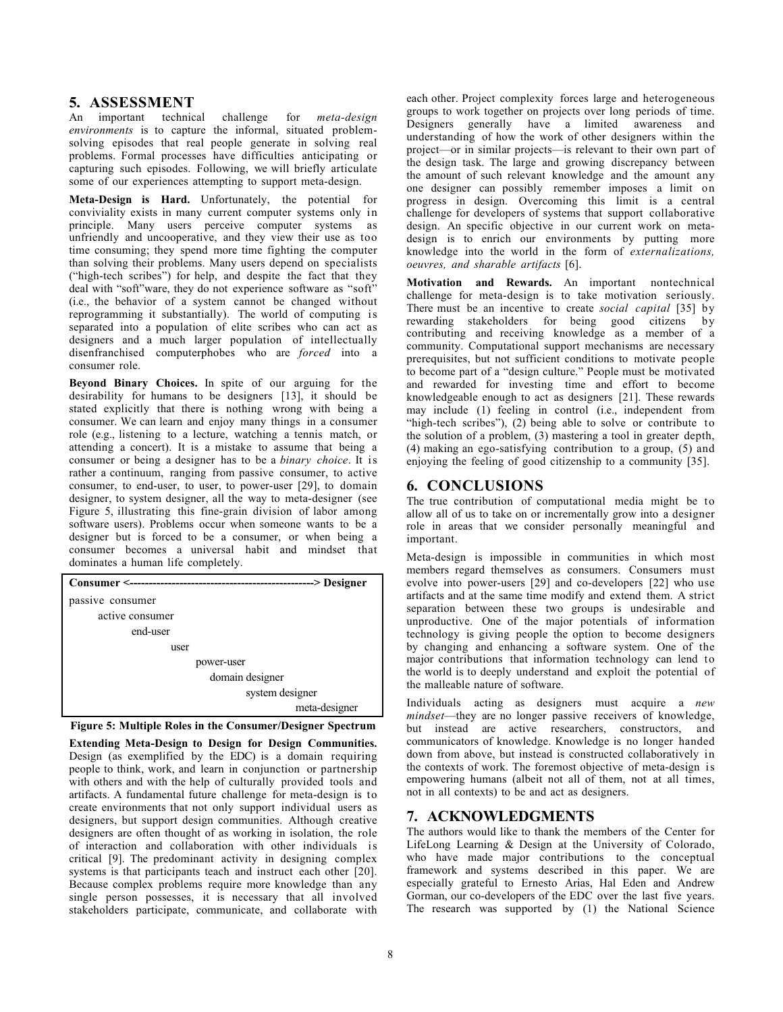#### **5. ASSESSMENT**

An important technical challenge for *meta-design environments* is to capture the informal, situated problemsolving episodes that real people generate in solving real problems. Formal processes have difficulties anticipating or capturing such episodes. Following, we will briefly articulate some of our experiences attempting to support meta-design.

**Meta-Design is Hard.** Unfortunately, the potential for conviviality exists in many current computer systems only in principle. Many users perceive computer systems as unfriendly and uncooperative, and they view their use as too time consuming; they spend more time fighting the computer than solving their problems. Many users depend on specialists ("high-tech scribes") for help, and despite the fact that they deal with "soft"ware, they do not experience software as "soft" (i.e., the behavior of a system cannot be changed without reprogramming it substantially). The world of computing is separated into a population of elite scribes who can act as designers and a much larger population of intellectually disenfranchised computerphobes who are *forced* into a consumer role.

**Beyond Binary Choices.** In spite of our arguing for the desirability for humans to be designers [13], it should be stated explicitly that there is nothing wrong with being a consumer. We can learn and enjoy many things in a consumer role (e.g., listening to a lecture, watching a tennis match, or attending a concert). It is a mistake to assume that being a consumer or being a designer has to be a *binary choice*. It is rather a continuum, ranging from passive consumer, to active consumer, to end-user, to user, to power-user [29], to domain designer, to system designer, all the way to meta-designer (see Figure 5, illustrating this fine-grain division of labor among software users). Problems occur when someone wants to be a designer but is forced to be a consumer, or when being a consumer becomes a universal habit and mindset that dominates a human life completely.

| -> Designer<br>Consumer <---- |  |
|-------------------------------|--|
| passive consumer              |  |
| active consumer               |  |
| end-user                      |  |
| user                          |  |
| power-user                    |  |
| domain designer               |  |
| system designer               |  |
| meta-designer                 |  |

**Figure 5: Multiple Roles in the Consumer/Designer Spectrum**

**Extending Meta-Design to Design for Design Communities.** Design (as exemplified by the EDC) is a domain requiring people to think, work, and learn in conjunction or partnership with others and with the help of culturally provided tools and artifacts. A fundamental future challenge for meta-design is to create environments that not only support individual users as designers, but support design communities. Although creative designers are often thought of as working in isolation, the role of interaction and collaboration with other individuals is critical [9]. The predominant activity in designing complex systems is that participants teach and instruct each other [20]. Because complex problems require more knowledge than any single person possesses, it is necessary that all involved stakeholders participate, communicate, and collaborate with

each other. Project complexity forces large and heterogeneous groups to work together on projects over long periods of time. Designers generally have a limited awareness and understanding of how the work of other designers within the project—or in similar projects—is relevant to their own part of the design task. The large and growing discrepancy between the amount of such relevant knowledge and the amount any one designer can possibly remember imposes a limit on progress in design. Overcoming this limit is a central challenge for developers of systems that support collaborative design. An specific objective in our current work on metadesign is to enrich our environments by putting more knowledge into the world in the form of *externalizations, oeuvres, and sharable artifacts* [6].

**Motivation and Rewards.** An important nontechnical challenge for meta-design is to take motivation seriously. There must be an incentive to create *social capital* [35] by rewarding stakeholders for being good citizens by contributing and receiving knowledge as a member of a community. Computational support mechanisms are necessary prerequisites, but not sufficient conditions to motivate people to become part of a "design culture." People must be motivated and rewarded for investing time and effort to become knowledgeable enough to act as designers [21]. These rewards may include (1) feeling in control (i.e., independent from "high-tech scribes"), (2) being able to solve or contribute to the solution of a problem, (3) mastering a tool in greater depth, (4) making an ego-satisfying contribution to a group, (5) and enjoying the feeling of good citizenship to a community [35].

## **6. CONCLUSIONS**

The true contribution of computational media might be to allow all of us to take on or incrementally grow into a designer role in areas that we consider personally meaningful and important.

Meta-design is impossible in communities in which most members regard themselves as consumers. Consumers must evolve into power-users [29] and co-developers [22] who use artifacts and at the same time modify and extend them. A strict separation between these two groups is undesirable and unproductive. One of the major potentials of information technology is giving people the option to become designers by changing and enhancing a software system. One of the major contributions that information technology can lend to the world is to deeply understand and exploit the potential of the malleable nature of software.

Individuals acting as designers must acquire a *new mindset*—they are no longer passive receivers of knowledge, but instead are active researchers, constructors, and communicators of knowledge. Knowledge is no longer handed down from above, but instead is constructed collaboratively in the contexts of work. The foremost objective of meta-design is empowering humans (albeit not all of them, not at all times, not in all contexts) to be and act as designers.

## **7. ACKNOWLEDGMENTS**

The authors would like to thank the members of the Center for LifeLong Learning & Design at the University of Colorado, who have made major contributions to the conceptual framework and systems described in this paper. We are especially grateful to Ernesto Arias, Hal Eden and Andrew Gorman, our co-developers of the EDC over the last five years. The research was supported by (1) the National Science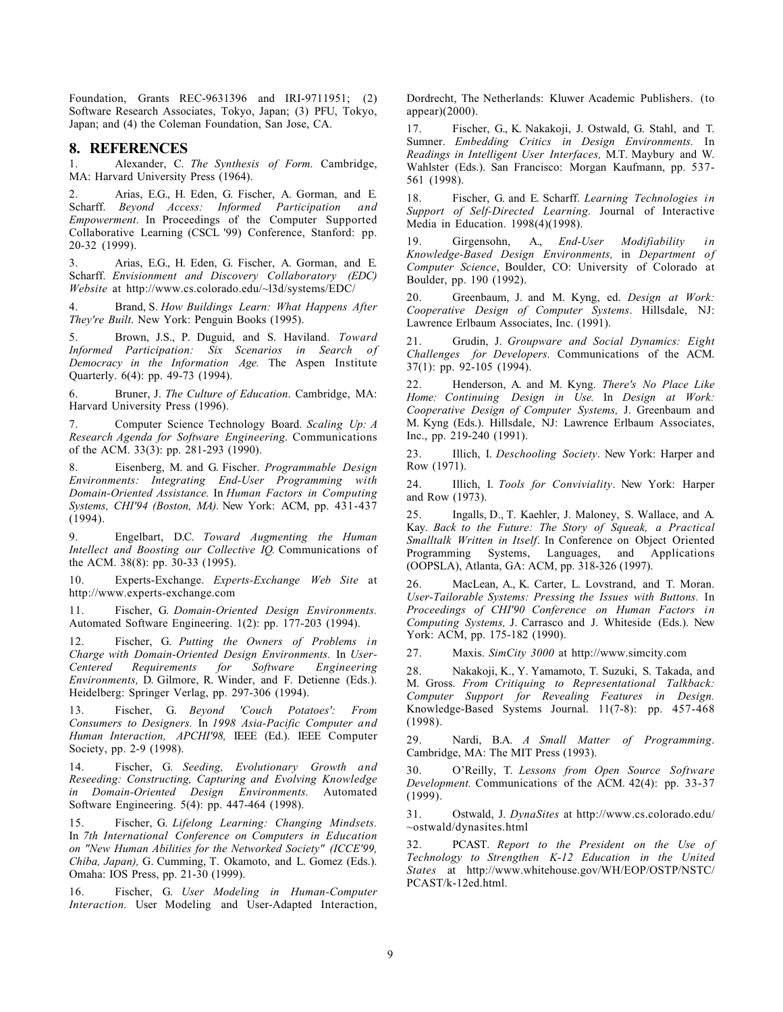Foundation, Grants REC-9631396 and IRI-9711951; (2) Software Research Associates, Tokyo, Japan; (3) PFU, Tokyo, Japan; and (4) the Coleman Foundation, San Jose, CA.

#### **8. REFERENCES**

1. Alexander, C. *The Synthesis of Form*. Cambridge, MA: Harvard University Press (1964).

2. Arias, E.G., H. Eden, G. Fischer, A. Gorman, and E. Scharff. *Beyond Access: Informed Participation and Empowerment*. In Proceedings of the Computer Supported Collaborative Learning (CSCL '99) Conference, Stanford: pp. 20-32 (1999).

3. Arias, E.G., H. Eden, G. Fischer, A. Gorman, and E. Scharff. *Envisionment and Discovery Collaboratory (EDC) Website* at http://www.cs.colorado.edu/~l3d/systems/EDC/

4. Brand, S. *How Buildings Learn: What Happens After They're Built*. New York: Penguin Books (1995).

5. Brown, J.S., P. Duguid, and S. Haviland. *Toward Informed Participation: Six Scenarios in Search of Democracy in the Information Age.* The Aspen Institute Quarterly. 6(4): pp. 49-73 (1994).

6. Bruner, J. *The Culture of Education*. Cambridge, MA: Harvard University Press (1996).

7. Computer Science Technology Board. *Scaling Up: A Research Agenda for Software Engineering.* Communications of the ACM. 33(3): pp. 281-293 (1990).

8. Eisenberg, M. and G. Fischer. *Programmable Design Environments: Integrating End-User Programming with Domain-Oriented Assistance.* In *Human Factors in Computing Systems, CHI'94 (Boston, MA)*. New York: ACM, pp. 431-437  $(1994)$ .

9. Engelbart, D.C. *Toward Augmenting the Human Intellect and Boosting our Collective IQ.* Communications of the ACM. 38(8): pp. 30-33 (1995).

10. Experts-Exchange. *Experts-Exchange Web Site* at http://www.experts-exchange.com

11. Fischer, G. *Domain-Oriented Design Environments.* Automated Software Engineering. 1(2): pp. 177-203 (1994).

12. Fischer, G. *Putting the Owners of Problems in Charge with Domain-Oriented Design Environments.* In *User-Centered Requirements for Software Engineering Environments,* D. Gilmore, R. Winder, and F. Detienne (Eds.). Heidelberg: Springer Verlag, pp. 297-306 (1994).

13. Fischer, G. *Beyond 'Couch Potatoes': From Consumers to Designers.* In *1998 Asia-Pacific Computer and Human Interaction, APCHI'98,* IEEE (Ed.). IEEE Computer Society, pp. 2-9 (1998).

14. Fischer, G. *Seeding, Evolutionary Growth and Reseeding: Constructing, Capturing and Evolving Knowledge in Domain-Oriented Design Environments.* Automated Software Engineering. 5(4): pp. 447-464 (1998).

15. Fischer, G. *Lifelong Learning: Changing Mindsets.* In *7th International Conference on Computers in Education on "New Human Abilities for the Networked Society" (ICCE'99, Chiba, Japan),* G. Cumming, T. Okamoto, and L. Gomez (Eds.). Omaha: IOS Press, pp. 21-30 (1999).

16. Fischer, G. *User Modeling in Human-Computer Interaction.* User Modeling and User-Adapted Interaction, Dordrecht, The Netherlands: Kluwer Academic Publishers. (to appear)(2000).

17. Fischer, G., K. Nakakoji, J. Ostwald, G. Stahl, and T. Sumner. *Embedding Critics in Design Environments.* In *Readings in Intelligent User Interfaces,* M.T. Maybury and W. Wahlster (Eds.). San Francisco: Morgan Kaufmann, pp. 537- 561 (1998).

18. Fischer, G. and E. Scharff. *Learning Technologies in Support of Self-Directed Learning.* Journal of Interactive Media in Education. 1998(4)(1998).

19. Girgensohn, A., *End-User Modifiability in Knowledge-Based Design Environments,* in *Department of Computer Science*, Boulder, CO: University of Colorado at Boulder, pp. 190 (1992).

20. Greenbaum, J. and M. Kyng, ed. *Design at Work: Cooperative Design of Computer Systems*. Hillsdale, NJ: Lawrence Erlbaum Associates, Inc. (1991).

21. Grudin, J. *Groupware and Social Dynamics: Eight Challenges for Developers.* Communications of the ACM. 37(1): pp. 92-105 (1994).

22. Henderson, A. and M. Kyng. *There's No Place Like Home: Continuing Design in Use.* In *Design at Work: Cooperative Design of Computer Systems,* J. Greenbaum and M. Kyng (Eds.). Hillsdale, NJ: Lawrence Erlbaum Associates, Inc., pp. 219-240 (1991).

23. Illich, I. *Deschooling Society*. New York: Harper and Row (1971).

24. Illich, I. *Tools for Conviviality*. New York: Harper and Row (1973).

25. Ingalls, D., T. Kaehler, J. Maloney, S. Wallace, and A. Kay. *Back to the Future: The Story of Squeak, a Practical Smalltalk Written in Itself*. In Conference on Object Oriented Programming Systems, Languages, and Applications (OOPSLA), Atlanta, GA: ACM, pp. 318-326 (1997).

26. MacLean, A., K. Carter, L. Lovstrand, and T. Moran. *User-Tailorable Systems: Pressing the Issues with Buttons.* In *Proceedings of CHI'90 Conference on Human Factors in Computing Systems,* J. Carrasco and J. Whiteside (Eds.). New York: ACM, pp. 175-182 (1990).

27. Maxis. *SimCity 3000* at http://www.simcity.com

28. Nakakoji, K., Y. Yamamoto, T. Suzuki, S. Takada, and M. Gross. *From Critiquing to Representational Talkback: Computer Support for Revealing Features in Design.* Knowledge-Based Systems Journal. 11(7-8): pp. 457-468 (1998).

29. Nardi, B.A. *A Small Matter of Programming*. Cambridge, MA: The MIT Press (1993).

30. O'Reilly, T. *Lessons from Open Source Software Development.* Communications of the ACM. 42(4): pp. 33-37 (1999).

31. Ostwald, J. *DynaSites* at http://www.cs.colorado.edu/ ~ostwald/dynasites.html

32. PCAST. *Report to the President on the Use of Technology to Strengthen K-12 Education in the United States* at http://www.whitehouse.gov/WH/EOP/OSTP/NSTC/ PCAST/k-12ed.html.